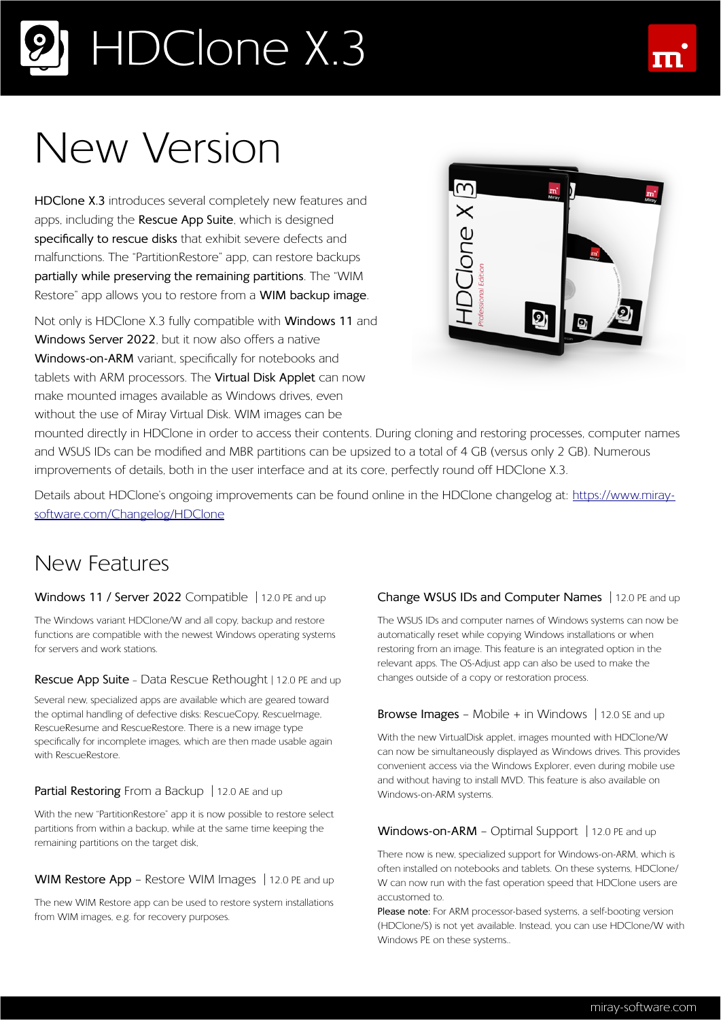## HDClone X.3

## New Version

**HDClone X.3** introduces several completely new features and apps, including the **Rescue App Suite**, which is designed **specifically to rescue disks** that exhibit severe defects and malfunctions. The "PartitionRestore" app, can restore backups **partially while preserving the remaining partitions**. The "WIM Restore" app allows you to restore from a **WIM backup image**.

Not only is HDClone X.3 fully compatible with **Windows 11** and **Windows Server 2022**, but it now also offers a native **Windows-on-ARM** variant, specifically for notebooks and tablets with ARM processors. The **Virtual Disk Applet** can now make mounted images available as Windows drives, even without the use of Miray Virtual Disk. WIM images can be



mounted directly in HDClone in order to access their contents. During cloning and restoring processes, computer names and WSUS IDs can be modified and MBR partitions can be upsized to a total of 4 GB (versus only 2 GB). Numerous improvements of details, both in the user interface and at its core, perfectly round off HDClone X.3.

Details about HDClone's ongoing improvements can be found online in the HDClone changelog at: [https://www.miray](https://www.miray-software.com/ChangeLog/HDClone) software.com/Changelog/HDClone

### New Features

#### **Windows 11 / Server 2022** Compatible | 12.0 PE and up

The Windows variant HDClone/W and all copy, backup and restore functions are compatible with the newest Windows operating systems for servers and work stations.

#### **Rescue App Suite** – Data Rescue Rethought | 12.0 PE and up

Several new, specialized apps are available which are geared toward the optimal handling of defective disks: RescueCopy, RescueImage, RescueResume and RescueRestore. There is a new image type specifically for incomplete images, which are then made usable again with RescueRestore.

#### Partial Restoring From a Backup | 12.0 AE and up

With the new "PartitionRestore" app it is now possible to restore select partitions from within a backup, while at the same time keeping the remaining partitions on the target disk,

#### **WIM Restore App** – Restore WIM Images | 12.0 PE and up

The new WIM Restore app can be used to restore system installations from WIM images, e.g. for recovery purposes.

#### **Change WSUS IDs and Computer Names** | 12.0 PE and up

The WSUS IDs and computer names of Windows systems can now be automatically reset while copying Windows installations or when restoring from an image. This feature is an integrated option in the relevant apps. The OS-Adjust app can also be used to make the changes outside of a copy or restoration process.

#### **Browse Images** – Mobile + in Windows | 12.0 SE and up

With the new VirtualDisk applet, images mounted with HDClone/W can now be simultaneously displayed as Windows drives. This provides convenient access via the Windows Explorer, even during mobile use and without having to install MVD. This feature is also available on Windows-on-ARM systems.

#### Windows-on-ARM - Optimal Support | 12.0 PE and up

There now is new, specialized support for Windows-on-ARM, which is often installed on notebooks and tablets. On these systems, HDClone/ W can now run with the fast operation speed that HDClone users are accustomed to.

**Please note:** For ARM processor-based systems, a self-booting version (HDClone/S) is not yet available. Instead, you can use HDClone/W with Windows PE on these systems..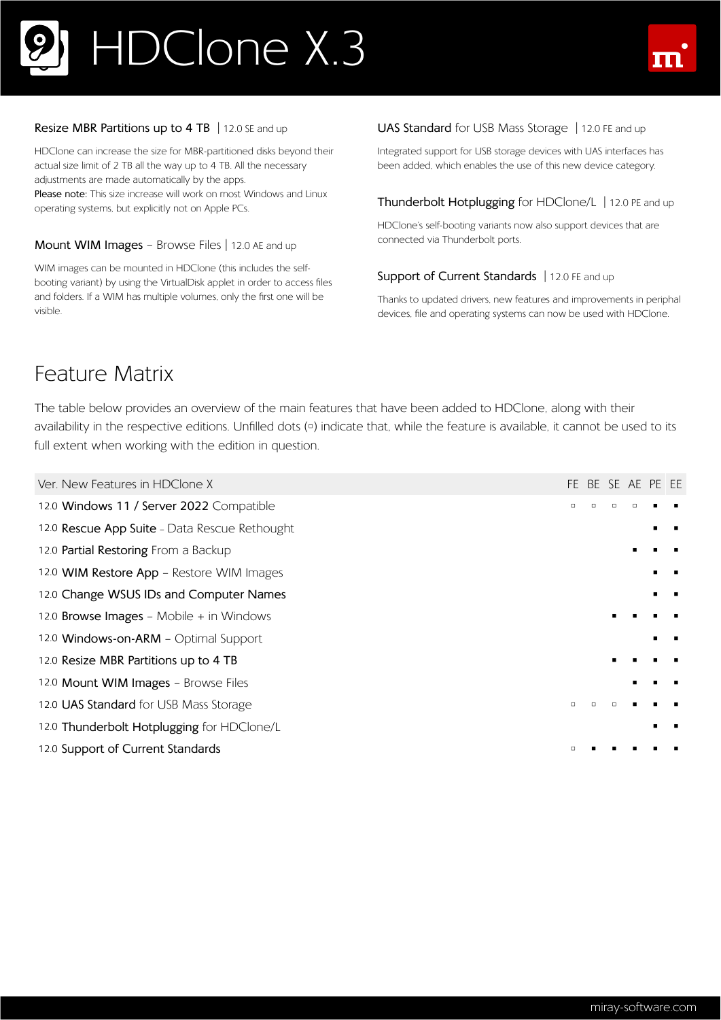## HDClone X.3



#### **Resize MBR Partitions up to 4 TB** | 12.0 SE and up

HDClone can increase the size for MBR-partitioned disks beyond their actual size limit of 2 TB all the way up to 4 TB. All the necessary adjustments are made automatically by the apps. **Please note:** This size increase will work on most Windows and Linux operating systems, but explicitly not on Apple PCs.

#### **Mount WIM Images** – Browse Files | 12.0 AE and up

WIM images can be mounted in HDClone (this includes the selfbooting variant) by using the VirtualDisk applet in order to access files and folders. If a WIM has multiple volumes, only the first one will be visible.

#### **UAS Standard** for USB Mass Storage | 12.0 FE and up

Integrated support for USB storage devices with UAS interfaces has been added, which enables the use of this new device category.

#### **Thunderbolt Hotplugging** for HDClone/L | 12.0 PE and up

HDClone's self-booting variants now also support devices that are connected via Thunderbolt ports.

#### **Support of Current Standards** | 12.0 FE and up

Thanks to updated drivers, new features and improvements in periphal devices, file and operating systems can now be used with HDClone.

### Feature Matrix

The table below provides an overview of the main features that have been added to HDClone, along with their availability in the respective editions. Unfilled dots (<sup>o</sup>) indicate that, while the feature is available, it cannot be used to its full extent when working with the edition in question.

| Ver. New Features in HDClone X                |   |  | FE BE SE AE PE EE |  |
|-----------------------------------------------|---|--|-------------------|--|
| 12.0 Windows 11 / Server 2022 Compatible      | O |  |                   |  |
| 12.0 Rescue App Suite - Data Rescue Rethought |   |  |                   |  |
| 12.0 Partial Restoring From a Backup          |   |  |                   |  |
| 12.0 WIM Restore App - Restore WIM Images     |   |  |                   |  |
| 12.0 Change WSUS IDs and Computer Names       |   |  |                   |  |
| 12.0 Browse Images - Mobile + in Windows      |   |  |                   |  |
| 12.0 Windows-on-ARM - Optimal Support         |   |  |                   |  |
| 12.0 Resize MBR Partitions up to 4 TB         |   |  |                   |  |
| 12.0 Mount WIM Images - Browse Files          |   |  |                   |  |
| 12.0 UAS Standard for USB Mass Storage        | □ |  |                   |  |
| 12.0 Thunderbolt Hotplugging for HDClone/L    |   |  |                   |  |
| 12.0 Support of Current Standards             |   |  |                   |  |